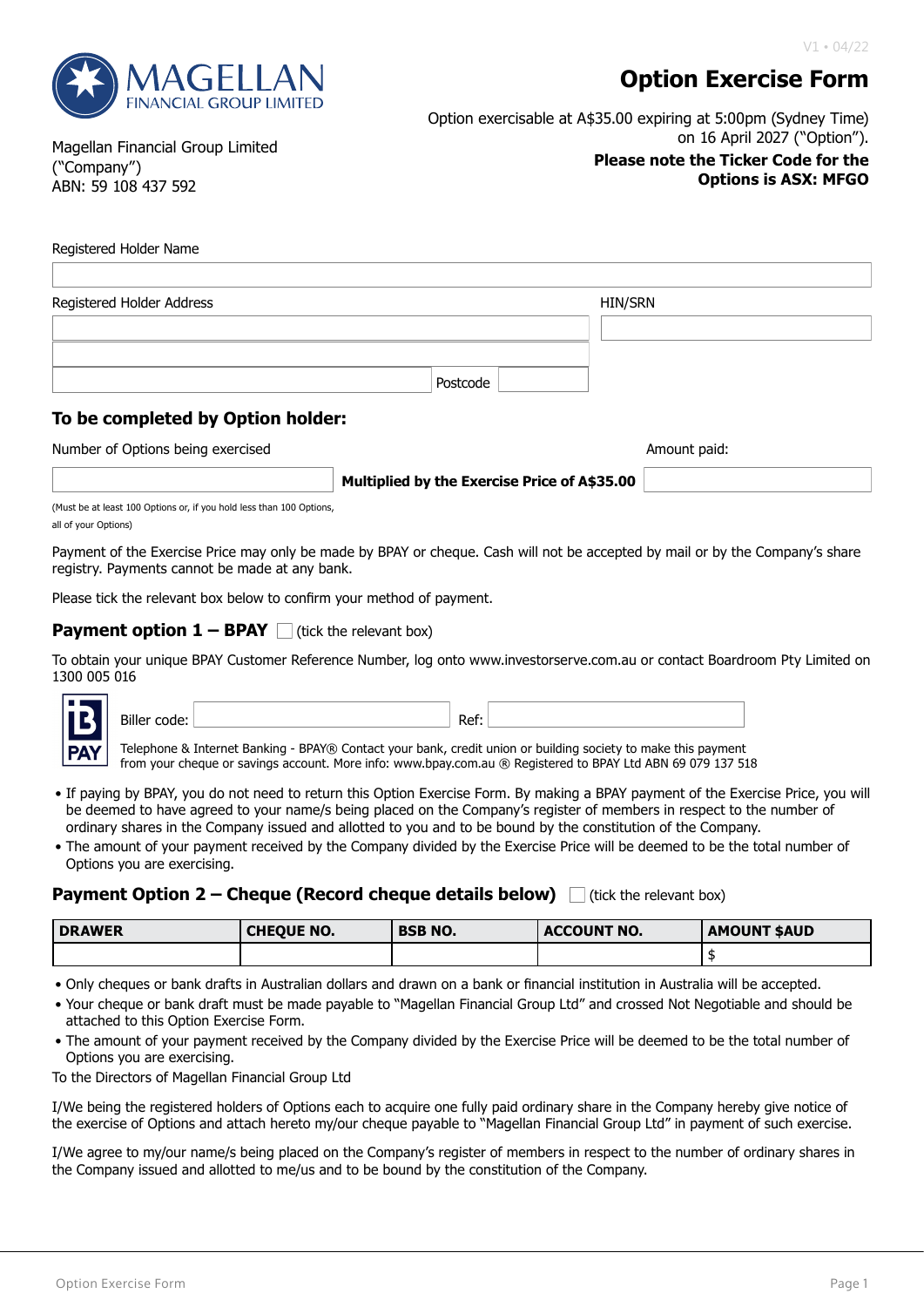

# **Option Exercise Form**

Option exercisable at A\$35.00 expiring at 5:00pm (Sydney Time) on 16 April 2027 ("Option").

#### **Please note the Ticker Code for the Options is ASX: MFGO**

Magellan Financial Group Limited ("Company") ABN: 59 108 437 592

#### Registered Holder Name

| Registered Holder Address |          | HIN/SRN |
|---------------------------|----------|---------|
|                           |          |         |
|                           |          |         |
|                           | Postcode |         |

# **To be completed by Option holder:**

Number of Options being exercised Amount paid: Amount paid: Amount paid:

**Multiplied by the Exercise Price of A\$35.00**

(Must be at least 100 Options or, if you hold less than 100 Options all of your Options)

Payment of the Exercise Price may only be made by BPAY or cheque. Cash will not be accepted by mail or by the Company's share registry. Payments cannot be made at any bank.

Please tick the relevant box below to confirm your method of payment.

### **Payment option**  $1 - BPAY$  (tick the relevant box)

To obtain your unique BPAY Customer Reference Number, log onto www.investorserve.com.au or contact Boardroom Pty Limited on 1300 005 016



Biller code: Ref: Telephone & Internet Banking - BPAY® Contact your bank, credit union or building society to make this payment

from your cheque or savings account. More info: www.bpay.com.au ® Registered to BPAY Ltd ABN 69 079 137 518

- If paying by BPAY, you do not need to return this Option Exercise Form. By making a BPAY payment of the Exercise Price, you will be deemed to have agreed to your name/s being placed on the Company's register of members in respect to the number of ordinary shares in the Company issued and allotted to you and to be bound by the constitution of the Company.
- The amount of your payment received by the Company divided by the Exercise Price will be deemed to be the total number of Options you are exercising.

## **Payment Option 2 – Cheque (Record cheque details below)** I (tick the relevant box)

| <b>DRAWER</b> | ' CHEQUE NO. | <b>BSB NO.</b> | <b>ACCOUNT NO.</b> | <b>AMOUNT SAUD</b> |
|---------------|--------------|----------------|--------------------|--------------------|
|               |              |                |                    |                    |

• Only cheques or bank drafts in Australian dollars and drawn on a bank or financial institution in Australia will be accepted.

- Your cheque or bank draft must be made payable to "Magellan Financial Group Ltd" and crossed Not Negotiable and should be attached to this Option Exercise Form.
- The amount of your payment received by the Company divided by the Exercise Price will be deemed to be the total number of Options you are exercising.

To the Directors of Magellan Financial Group Ltd

I/We being the registered holders of Options each to acquire one fully paid ordinary share in the Company hereby give notice of the exercise of Options and attach hereto my/our cheque payable to "Magellan Financial Group Ltd" in payment of such exercise.

I/We agree to my/our name/s being placed on the Company's register of members in respect to the number of ordinary shares in the Company issued and allotted to me/us and to be bound by the constitution of the Company.